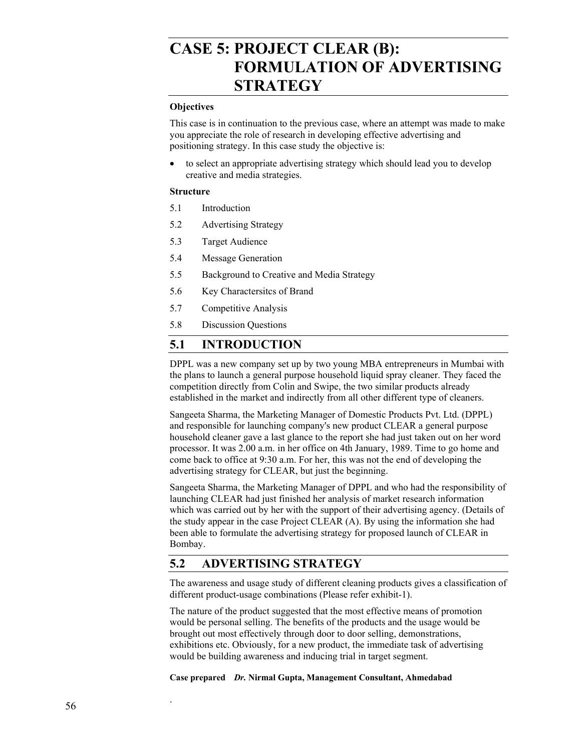# **CASE 5: PROJECT CLEAR (B): FORMULATION OF ADVERTISING STRATEGY**

#### **Objectives**

This case is in continuation to the previous case, where an attempt was made to make you appreciate the role of research in developing effective advertising and positioning strategy. In this case study the objective is:

to select an appropriate advertising strategy which should lead you to develop creative and media strategies.

#### **Structure**

- 5.1 Introduction
- 5.2 Advertising Strategy
- 5.3 Target Audience
- 5.4 Message Generation
- 5.5 Background to Creative and Media Strategy
- 5.6 Key Charactersitcs of Brand
- 5.7 Competitive Analysis
- 5.8 Discussion Questions

### **5.1 INTRODUCTION**

DPPL was a new company set up by two young MBA entrepreneurs in Mumbai with the plans to launch a general purpose household liquid spray cleaner. They faced the competition directly from Colin and Swipe, the two similar products already established in the market and indirectly from all other different type of cleaners.

Sangeeta Sharma, the Marketing Manager of Domestic Products Pvt. Ltd. (DPPL) and responsible for launching company's new product CLEAR a general purpose household cleaner gave a last glance to the report she had just taken out on her word processor. It was 2.00 a.m. in her office on 4th January, 1989. Time to go home and come back to office at 9:30 a.m. For her, this was not the end of developing the advertising strategy for CLEAR, but just the beginning.

Sangeeta Sharma, the Marketing Manager of DPPL and who had the responsibility of launching CLEAR had just finished her analysis of market research information which was carried out by her with the support of their advertising agency. (Details of the study appear in the case Project CLEAR (A). By using the information she had been able to formulate the advertising strategy for proposed launch of CLEAR in Bombay.

# **5.2 ADVERTISING STRATEGY**

The awareness and usage study of different cleaning products gives a classification of different product-usage combinations (Please refer exhibit-1).

The nature of the product suggested that the most effective means of promotion would be personal selling. The benefits of the products and the usage would be brought out most effectively through door to door selling, demonstrations, exhibitions etc. Obviously, for a new product, the immediate task of advertising would be building awareness and inducing trial in target segment.

**Case prepared** *Dr.* **Nirmal Gupta, Management Consultant, Ahmedabad** 

.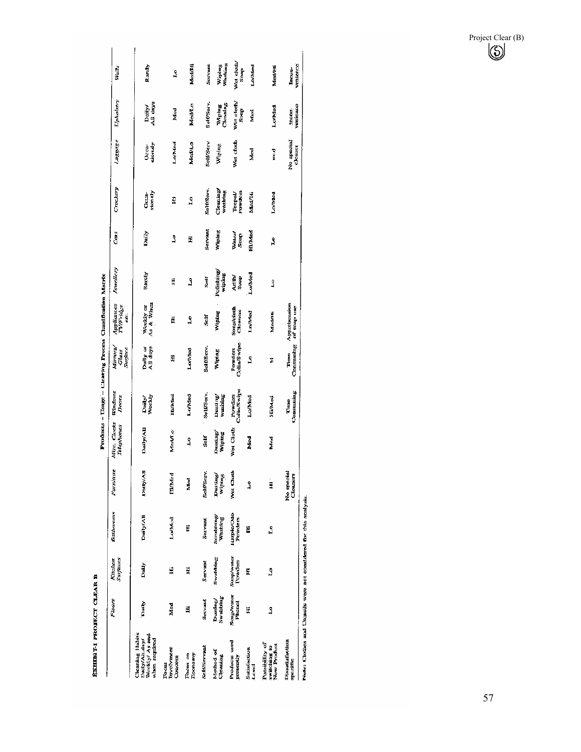ЕХНИЗУ-1 РИОЛЕСТ СЪЕАR В

|                                                                     |                             |                              |                      |                           |                            | Products - Usage - Clearing Process Classification Matrix |                             |                               |                              |               |                               |                       |                       |                           |
|---------------------------------------------------------------------|-----------------------------|------------------------------|----------------------|---------------------------|----------------------------|-----------------------------------------------------------|-----------------------------|-------------------------------|------------------------------|---------------|-------------------------------|-----------------------|-----------------------|---------------------------|
|                                                                     | Ficers                      | Surfaces<br>Kitchen          | Bathrooms            | Furniture                 | Misc. Clucks<br>Telephones | Windows<br>Doors                                          | Mirrors<br>Surface<br>Glass | Appliances<br>TV/Fridge<br>đ. | Jewellery                    | Cars:         | Crockery                      | <b>Luggage</b>        | Upholstry             | Walls                     |
| Weekly/As and<br>Cleaning Habits<br>Daily/All.day/<br>when required | Daily                       | Daily                        | <b>Daily/All</b>     | <b>BAYYAR</b>             | Daily/All                  | Daily)<br>Westly                                          | All days<br>Daily or        | As & When<br>Weekly ar        | Rarchy                       | Daily         | sionaly<br>Orra-              | cionaly<br>Occa-      | Daily/<br>All days    | Rarel <sub>y</sub>        |
| Involvment<br>Concern<br>Focus                                      | Med                         | E                            | Lo/Med               | <b>Hinded</b>             | Med/Lo                     | Hi/kfud                                                   | H                           | E                             | H                            | 3             | E                             | LoAMed                | Med                   | $\mathbf{r}$              |
| Focus on<br>Economy                                                 | Ë                           | H                            | F                    | Mod                       | Ş                          | Ln/Med                                                    | Lo/Med                      | Å                             | ٤                            | E             | S                             | Medito                | <b>Med/La</b>         | Med/Hi                    |
| SciffServaat                                                        | Servant                     | Servant                      | <b>Servant</b>       | Self/Serv.                | Self                       | SelfServ.                                                 | Seit/Serv.                  | Self                          | Šelf                         | Servant       | Seif/Serv.                    | Selt/Serv             | Selt/Serv.            | Servant                   |
| Method of<br>Cleaning                                               | Swabbing<br>Dusting         | Swabbing                     | Scrubbing<br>Washing | Dusting/<br><b>Wiping</b> | Dusting/<br>Wiping         | washing<br>Desting                                        | Wiping                      | Wiping                        | Pofishing<br>Multipling      | Wiping        | ${\rm C}$ leaning/<br>washing | Wiping                | Cleaning<br>Wipme     | Washing<br>Wining         |
| Products used<br>presently                                          | Soap/water<br><b>Phenol</b> | <b>Soap/water</b><br>Powders | Hapic/Odo<br>Powders | Wet Clath                 | <b>Wet Cluth</b>           | Colin/Swipe<br>Powders                                    | Colin/Swipe<br>Powders      | Soup/cloth<br>Cleaners        | Article <sup>1</sup><br>Soap | Walco<br>Soap | Powders<br>Teepol             | Wet cloth             | Wet cloth/<br>Sonp.   | Wet clotu/<br>Soap        |
| Sarisfaction<br>ह<br>ए                                              | Ħ                           | E                            | H                    | Ĵ                         | Med                        | LoMod                                                     | L                           | LoMMed                        | LuMed                        | EMAS          | Med/Hi                        | Med                   | Med                   | LofMed                    |
| Possibility of<br>witching to<br>Vew Product                        | Ĵ                           | P,                           | å                    | .<br>E                    | Med                        | HiMed                                                     | I                           | Med/FF                        | 3                            | ڲ             | Lo/Med                        | med<br>E              | Lorivied              | Med/Hi                    |
| <b>Dissatisfaction</b><br>pecific                                   |                             |                              |                      | No special<br>Cleaners    |                            | Consuming<br>Time                                         | Consuming<br>Time           | Apprenension<br>of soap use   |                              |               |                               | No special<br>cleaner | venience<br>finc.com- | venience<br><b>Lacon-</b> |
| Jute: Clothes and Utensils were not considered for this analysis.   |                             |                              |                      |                           |                            |                                                           |                             |                               |                              |               |                               |                       |                       |                           |

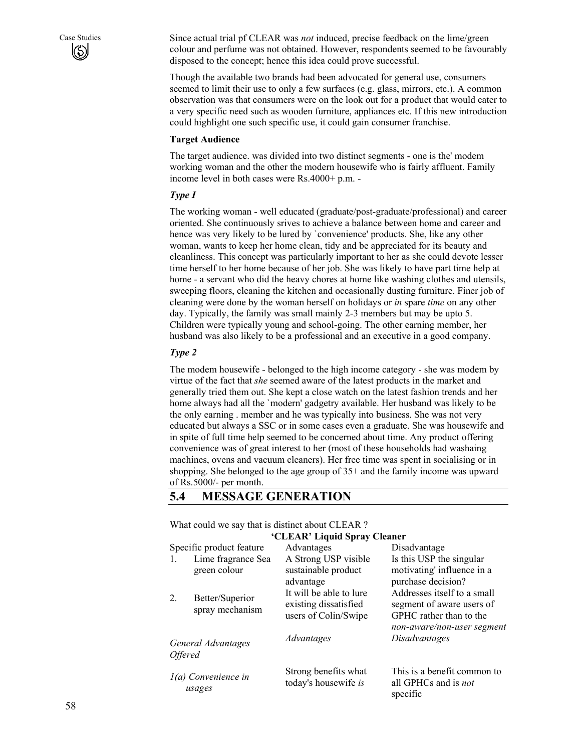Case Studies Since actual trial pf CLEAR was *not* induced, precise feedback on the lime/green colour and perfume was not obtained. However, respondents seemed to be favourably disposed to the concept; hence this idea could prove successful.

> Though the available two brands had been advocated for general use, consumers seemed to limit their use to only a few surfaces (e.g. glass, mirrors, etc.). A common observation was that consumers were on the look out for a product that would cater to a very specific need such as wooden furniture, appliances etc. If this new introduction could highlight one such specific use, it could gain consumer franchise.

#### **Target Audience**

The target audience. was divided into two distinct segments - one is the' modem working woman and the other the modern housewife who is fairly affluent. Family income level in both cases were Rs.4000+ p.m. -

#### *Type I*

The working woman - well educated (graduate/post-graduate/professional) and career oriented. She continuously srives to achieve a balance between home and career and hence was very likely to be lured by `convenience' products. She, like any other woman, wants to keep her home clean, tidy and be appreciated for its beauty and cleanliness. This concept was particularly important to her as she could devote lesser time herself to her home because of her job. She was likely to have part time help at home - a servant who did the heavy chores at home like washing clothes and utensils, sweeping floors, cleaning the kitchen and occasionally dusting furniture. Finer job of cleaning were done by the woman herself on holidays or *in* spare *time* on any other day. Typically, the family was small mainly 2-3 members but may be upto 5. Children were typically young and school-going. The other earning member, her husband was also likely to be a professional and an executive in a good company.

#### *Type 2*

The modem housewife - belonged to the high income category - she was modem by virtue of the fact that *she* seemed aware of the latest products in the market and generally tried them out. She kept a close watch on the latest fashion trends and her home always had all the `modern' gadgetry available. Her husband was likely to be the only earning . member and he was typically into business. She was not very educated but always a SSC or in some cases even a graduate. She was housewife and in spite of full time help seemed to be concerned about time. Any product offering convenience was of great interest to her (most of these households had washaing machines, ovens and vacuum cleaners). Her free time was spent in socialising or in shopping. She belonged to the age group of 35+ and the family income was upward of Rs.5000/- per month.

### **5.4 MESSAGE GENERATION**

What could we say that is distinct about CLEAR ?

|                       |                                    | 'CLEAR' Liquid Spray Cleaner                                             |                                                                                     |
|-----------------------|------------------------------------|--------------------------------------------------------------------------|-------------------------------------------------------------------------------------|
|                       | Specific product feature           | Advantages                                                               | Disadvantage                                                                        |
| 1.                    | Lime fragrance Sea<br>green colour | A Strong USP visible<br>sustainable product<br>advantage                 | Is this USP the singular<br>motivating' influence in a<br>purchase decision?        |
| 2.                    | Better/Superior<br>spray mechanism | It will be able to lure<br>existing dissatisfied<br>users of Colin/Swipe | Addresses itself to a small<br>segment of aware users of<br>GPHC rather than to the |
| <i><b>Offered</b></i> | General Advantages                 | Advantages                                                               | non-aware/non-user segment<br><i>Disadvantages</i>                                  |
|                       | 1(a) Convenience in<br>usages      | Strong benefits what<br>today's housewife is                             | This is a benefit common to<br>all GPHCs and is not<br>specific                     |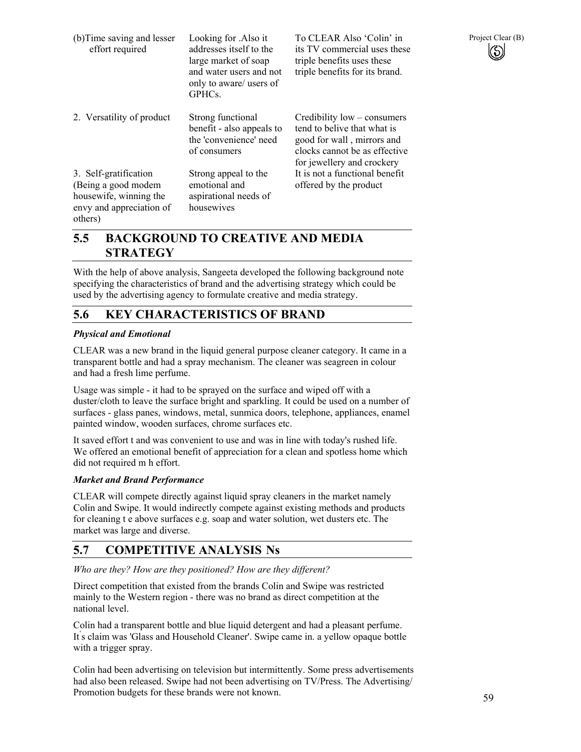| (b) Time saving and lesser<br>effort required                                                                  | Looking for .Also it<br>addresses itself to the<br>large market of soap<br>and water users and not<br>only to aware/ users of<br>GPHCs. | To CLEAR Also 'Colin' in<br>its TV commercial uses these<br>triple benefits uses these<br>triple benefits for its brand.                                | Project Clear (B) |
|----------------------------------------------------------------------------------------------------------------|-----------------------------------------------------------------------------------------------------------------------------------------|---------------------------------------------------------------------------------------------------------------------------------------------------------|-------------------|
| 2. Versatility of product                                                                                      | Strong functional<br>benefit - also appeals to<br>the 'convenience' need<br>of consumers                                                | Credibility low – consumers<br>tend to belive that what is<br>good for wall, mirrors and<br>clocks cannot be as effective<br>for jewellery and crockery |                   |
| 3. Self-gratification<br>(Being a good modem)<br>housewife, winning the<br>envy and appreciation of<br>others) | Strong appeal to the<br>emotional and<br>aspirational needs of<br>housewives                                                            | It is not a functional benefit<br>offered by the product                                                                                                |                   |

# **5.5 BACKGROUND TO CREATIVE AND MEDIA STRATEGY**

With the help of above analysis, Sangeeta developed the following background note specifying the characteristics of brand and the advertising strategy which could be used by the advertising agency to formulate creative and media strategy.

### **5.6 KEY CHARACTERISTICS OF BRAND**

### *Physical and Emotional*

CLEAR was a new brand in the liquid general purpose cleaner category. It came in a transparent bottle and had a spray mechanism. The cleaner was seagreen in colour and had a fresh lime perfume.

Usage was simple - it had to be sprayed on the surface and wiped off with a duster/cloth to leave the surface bright and sparkling. It could be used on a number of surfaces - glass panes, windows, metal, sunmica doors, telephone, appliances, enamel painted window, wooden surfaces, chrome surfaces etc.

It saved effort t and was convenient to use and was in line with today's rushed life. We offered an emotional benefit of appreciation for a clean and spotless home which did not required m h effort.

#### *Market and Brand Performance*

CLEAR will compete directly against liquid spray cleaners in the market namely Colin and Swipe. It would indirectly compete against existing methods and products for cleaning t e above surfaces e.g. soap and water solution, wet dusters etc. The market was large and diverse.

# **5.7 COMPETITIVE ANALYSIS Ns**

*Who are they? How are they positioned? How are they different?* 

Direct competition that existed from the brands Colin and Swipe was restricted mainly to the Western region - there was no brand as direct competition at the national level.

Colin had a transparent bottle and blue liquid detergent and had a pleasant perfume. It' s claim was 'Glass and Household Cleaner'. Swipe came in. a yellow opaque bottle with a trigger spray.

Colin had been advertising on television but intermittently. Some press advertisements had also been released. Swipe had not been advertising on TV/Press. The Advertising/ Promotion budgets for these brands were not known.